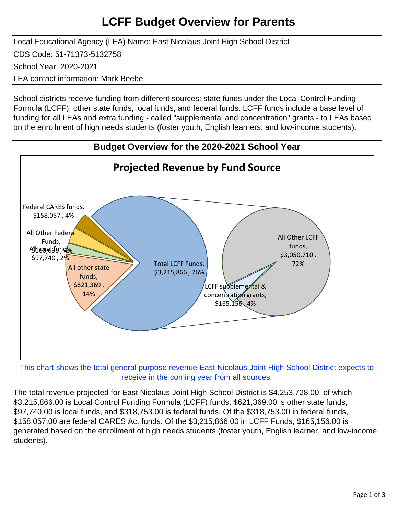## **LCFF Budget Overview for Parents**

Local Educational Agency (LEA) Name: East Nicolaus Joint High School District CDS Code: 51-71373-5132758 School Year: 2020-2021 LEA contact information: Mark Beebe

School districts receive funding from different sources: state funds under the Local Control Funding Formula (LCFF), other state funds, local funds, and federal funds. LCFF funds include a base level of funding for all LEAs and extra funding - called "supplemental and concentration" grants - to LEAs based on the enrollment of high needs students (foster youth, English learners, and low-income students).



receive in the coming year from all sources.

The total revenue projected for East Nicolaus Joint High School District is \$4,253,728.00, of which \$3,215,866.00 is Local Control Funding Formula (LCFF) funds, \$621,369.00 is other state funds, \$97,740.00 is local funds, and \$318,753.00 is federal funds. Of the \$318,753.00 in federal funds, \$158,057.00 are federal CARES Act funds. Of the \$3,215,866.00 in LCFF Funds, \$165,156.00 is generated based on the enrollment of high needs students (foster youth, English learner, and low-income students).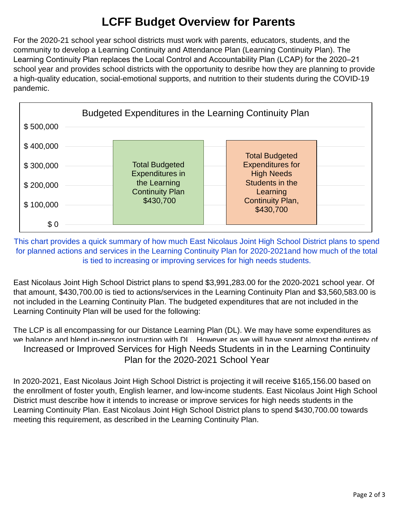## **LCFF Budget Overview for Parents**

For the 2020-21 school year school districts must work with parents, educators, students, and the community to develop a Learning Continuity and Attendance Plan (Learning Continuity Plan). The Learning Continuity Plan replaces the Local Control and Accountability Plan (LCAP) for the 2020–21 school year and provides school districts with the opportunity to desribe how they are planning to provide a high-quality education, social-emotional supports, and nutrition to their students during the COVID-19 pandemic.



This chart provides a quick summary of how much East Nicolaus Joint High School District plans to spend for planned actions and services in the Learning Continuity Plan for 2020-2021and how much of the total is tied to increasing or improving services for high needs students.

East Nicolaus Joint High School District plans to spend \$3,991,283.00 for the 2020-2021 school year. Of that amount, \$430,700.00 is tied to actions/services in the Learning Continuity Plan and \$3,560,583.00 is not included in the Learning Continuity Plan. The budgeted expenditures that are not included in the Learning Continuity Plan will be used for the following:

The LCP is all encompassing for our Distance Learning Plan (DL). We may have some expenditures as we balance and blend in-person instruction with DL. However as we will have spent almost the entirety of Increased or Improved Services for High Needs Students in in the Learning Continuity Plan for the 2020-2021 School Year

In 2020-2021, East Nicolaus Joint High School District is projecting it will receive \$165,156.00 based on the enrollment of foster youth, English learner, and low-income students. East Nicolaus Joint High School District must describe how it intends to increase or improve services for high needs students in the Learning Continuity Plan. East Nicolaus Joint High School District plans to spend \$430,700.00 towards meeting this requirement, as described in the Learning Continuity Plan.